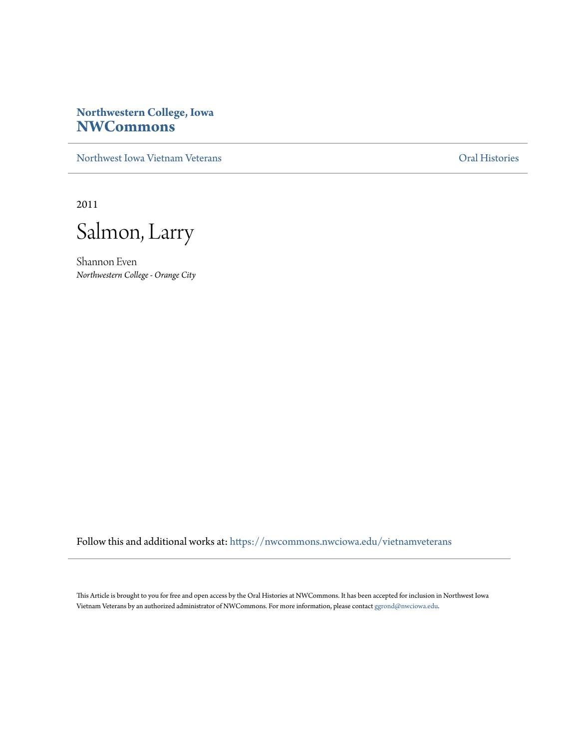## **Northwestern College, Iowa [NWCommons](https://nwcommons.nwciowa.edu?utm_source=nwcommons.nwciowa.edu%2Fvietnamveterans%2F15&utm_medium=PDF&utm_campaign=PDFCoverPages)**

[Northwest Iowa Vietnam Veterans](https://nwcommons.nwciowa.edu/vietnamveterans?utm_source=nwcommons.nwciowa.edu%2Fvietnamveterans%2F15&utm_medium=PDF&utm_campaign=PDFCoverPages) [Oral Histories](https://nwcommons.nwciowa.edu/oralhistories?utm_source=nwcommons.nwciowa.edu%2Fvietnamveterans%2F15&utm_medium=PDF&utm_campaign=PDFCoverPages)

2011

Salmon, Larry

Shannon Even *Northwestern College - Orange City*

Follow this and additional works at: [https://nwcommons.nwciowa.edu/vietnamveterans](https://nwcommons.nwciowa.edu/vietnamveterans?utm_source=nwcommons.nwciowa.edu%2Fvietnamveterans%2F15&utm_medium=PDF&utm_campaign=PDFCoverPages)

This Article is brought to you for free and open access by the Oral Histories at NWCommons. It has been accepted for inclusion in Northwest Iowa Vietnam Veterans by an authorized administrator of NWCommons. For more information, please contact [ggrond@nwciowa.edu](mailto:ggrond@nwciowa.edu).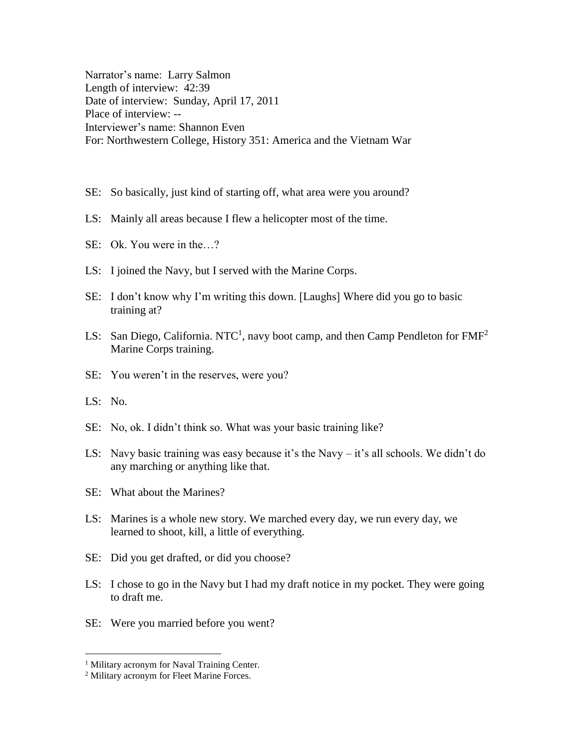Narrator's name: Larry Salmon Length of interview: 42:39 Date of interview: Sunday, April 17, 2011 Place of interview: -- Interviewer's name: Shannon Even For: Northwestern College, History 351: America and the Vietnam War

- SE: So basically, just kind of starting off, what area were you around?
- LS: Mainly all areas because I flew a helicopter most of the time.
- SE: Ok. You were in the…?
- LS: I joined the Navy, but I served with the Marine Corps.
- SE: I don't know why I'm writing this down. [Laughs] Where did you go to basic training at?
- LS: San Diego, California. NTC<sup>1</sup>, navy boot camp, and then Camp Pendleton for  $FMF^2$ Marine Corps training.
- SE: You weren't in the reserves, were you?
- LS: No.

- SE: No, ok. I didn't think so. What was your basic training like?
- LS: Navy basic training was easy because it's the Navy it's all schools. We didn't do any marching or anything like that.
- SE: What about the Marines?
- LS: Marines is a whole new story. We marched every day, we run every day, we learned to shoot, kill, a little of everything.
- SE: Did you get drafted, or did you choose?
- LS: I chose to go in the Navy but I had my draft notice in my pocket. They were going to draft me.
- SE: Were you married before you went?

<sup>&</sup>lt;sup>1</sup> Military acronym for Naval Training Center.

<sup>2</sup> Military acronym for Fleet Marine Forces.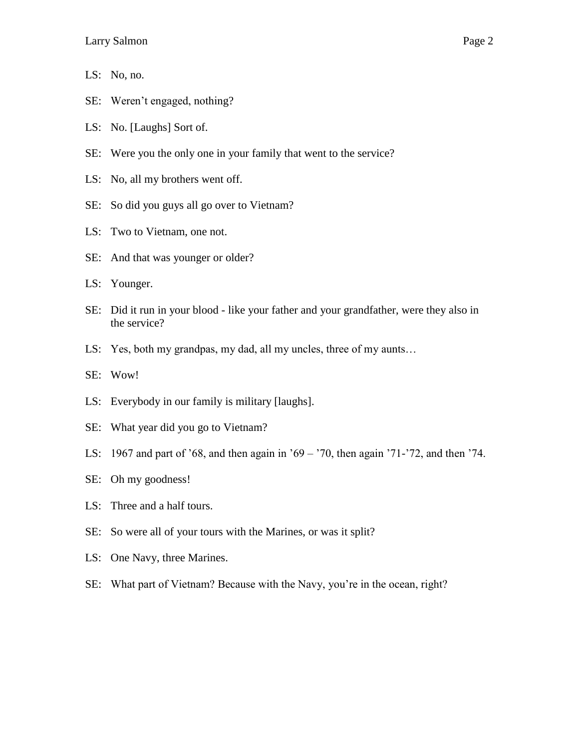- LS: No, no.
- SE: Weren't engaged, nothing?
- LS: No. [Laughs] Sort of.
- SE: Were you the only one in your family that went to the service?
- LS: No, all my brothers went off.
- SE: So did you guys all go over to Vietnam?
- LS: Two to Vietnam, one not.
- SE: And that was younger or older?
- LS: Younger.
- SE: Did it run in your blood like your father and your grandfather, were they also in the service?
- LS: Yes, both my grandpas, my dad, all my uncles, three of my aunts...
- SE: Wow!
- LS: Everybody in our family is military [laughs].
- SE: What year did you go to Vietnam?
- LS: 1967 and part of '68, and then again in '69 '70, then again '71-'72, and then '74.
- SE: Oh my goodness!
- LS: Three and a half tours.
- SE: So were all of your tours with the Marines, or was it split?
- LS: One Navy, three Marines.
- SE: What part of Vietnam? Because with the Navy, you're in the ocean, right?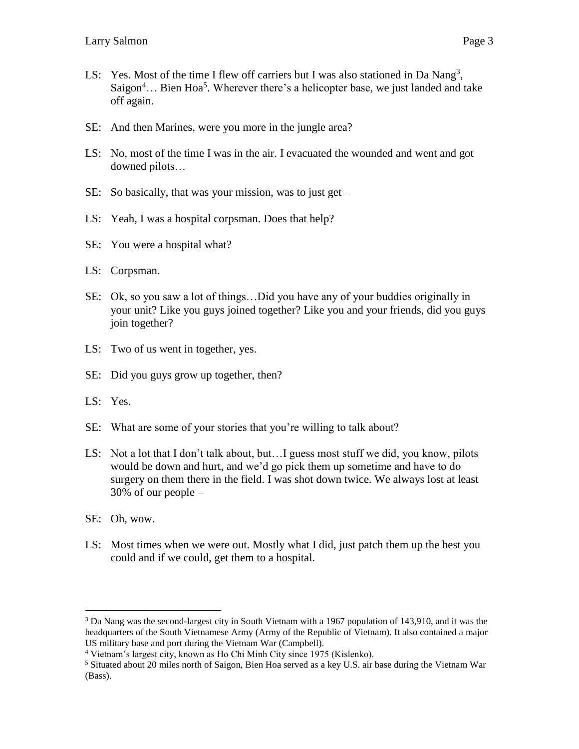- LS: Yes. Most of the time I flew off carriers but I was also stationed in Da Nang<sup>3</sup>, Saigon<sup>4</sup>... Bien Hoa<sup>5</sup>. Wherever there's a helicopter base, we just landed and take off again.
- SE: And then Marines, were you more in the jungle area?
- LS: No, most of the time I was in the air. I evacuated the wounded and went and got downed pilots…
- SE: So basically, that was your mission, was to just get –
- LS: Yeah, I was a hospital corpsman. Does that help?
- SE: You were a hospital what?
- LS: Corpsman.
- SE: Ok, so you saw a lot of things…Did you have any of your buddies originally in your unit? Like you guys joined together? Like you and your friends, did you guys join together?
- LS: Two of us went in together, yes.
- SE: Did you guys grow up together, then?
- LS: Yes.
- SE: What are some of your stories that you're willing to talk about?
- LS: Not a lot that I don't talk about, but…I guess most stuff we did, you know, pilots would be down and hurt, and we'd go pick them up sometime and have to do surgery on them there in the field. I was shot down twice. We always lost at least 30% of our people –
- SE: Oh, wow.

LS: Most times when we were out. Mostly what I did, just patch them up the best you could and if we could, get them to a hospital.

<sup>&</sup>lt;sup>3</sup> Da Nang was the second-largest city in South Vietnam with a 1967 population of 143,910, and it was the headquarters of the South Vietnamese Army (Army of the Republic of Vietnam). It also contained a major US military base and port during the Vietnam War (Campbell).

<sup>4</sup> Vietnam's largest city, known as Ho Chi Minh City since 1975 (Kislenko).

<sup>&</sup>lt;sup>5</sup> Situated about 20 miles north of Saigon, Bien Hoa served as a key U.S. air base during the Vietnam War (Bass).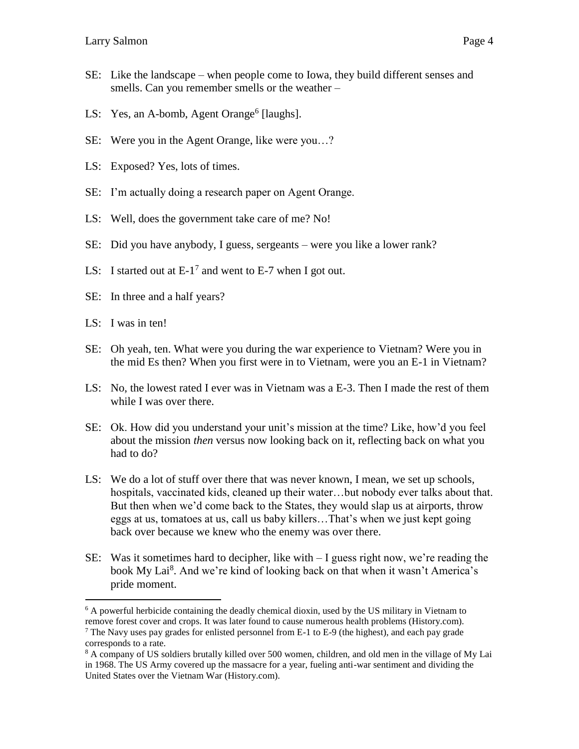- SE: Like the landscape when people come to Iowa, they build different senses and smells. Can you remember smells or the weather –
- LS: Yes, an A-bomb, Agent Orange<sup>6</sup> [laughs].
- SE: Were you in the Agent Orange, like were you…?
- LS: Exposed? Yes, lots of times.
- SE: I'm actually doing a research paper on Agent Orange.
- LS: Well, does the government take care of me? No!
- SE: Did you have anybody, I guess, sergeants were you like a lower rank?
- LS: I started out at  $E-1^7$  and went to E-7 when I got out.
- SE: In three and a half years?
- LS: I was in ten!

- SE: Oh yeah, ten. What were you during the war experience to Vietnam? Were you in the mid Es then? When you first were in to Vietnam, were you an E-1 in Vietnam?
- LS: No, the lowest rated I ever was in Vietnam was a E-3. Then I made the rest of them while I was over there.
- SE: Ok. How did you understand your unit's mission at the time? Like, how'd you feel about the mission *then* versus now looking back on it, reflecting back on what you had to do?
- LS: We do a lot of stuff over there that was never known, I mean, we set up schools, hospitals, vaccinated kids, cleaned up their water…but nobody ever talks about that. But then when we'd come back to the States, they would slap us at airports, throw eggs at us, tomatoes at us, call us baby killers…That's when we just kept going back over because we knew who the enemy was over there.
- SE: Was it sometimes hard to decipher, like with I guess right now, we're reading the book My Lai<sup>8</sup>. And we're kind of looking back on that when it wasn't America's pride moment.

 $6$  A powerful herbicide containing the deadly chemical dioxin, used by the US military in Vietnam to remove forest cover and crops. It was later found to cause numerous health problems (History.com). <sup>7</sup> The Navy uses pay grades for enlisted personnel from E-1 to E-9 (the highest), and each pay grade corresponds to a rate.

<sup>&</sup>lt;sup>8</sup> A company of US soldiers brutally killed over 500 women, children, and old men in the village of My Lai in 1968. The US Army covered up the massacre for a year, fueling anti-war sentiment and dividing the United States over the Vietnam War (History.com).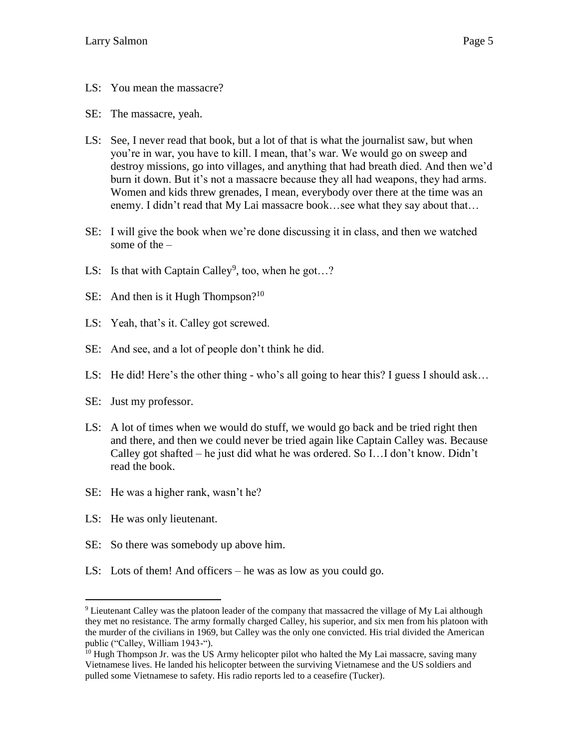- LS: You mean the massacre?
- SE: The massacre, yeah.
- LS: See, I never read that book, but a lot of that is what the journalist saw, but when you're in war, you have to kill. I mean, that's war. We would go on sweep and destroy missions, go into villages, and anything that had breath died. And then we'd burn it down. But it's not a massacre because they all had weapons, they had arms. Women and kids threw grenades, I mean, everybody over there at the time was an enemy. I didn't read that My Lai massacre book…see what they say about that…
- SE: I will give the book when we're done discussing it in class, and then we watched some of the –
- LS: Is that with Captain Calley<sup>9</sup>, too, when he got...?
- SE: And then is it Hugh Thompson?<sup>10</sup>
- LS: Yeah, that's it. Calley got screwed.
- SE: And see, and a lot of people don't think he did.
- LS: He did! Here's the other thing who's all going to hear this? I guess I should ask...
- SE: Just my professor.
- LS: A lot of times when we would do stuff, we would go back and be tried right then and there, and then we could never be tried again like Captain Calley was. Because Calley got shafted – he just did what he was ordered. So I…I don't know. Didn't read the book.
- SE: He was a higher rank, wasn't he?
- LS: He was only lieutenant.

- SE: So there was somebody up above him.
- LS: Lots of them! And officers he was as low as you could go.

<sup>&</sup>lt;sup>9</sup> Lieutenant Calley was the platoon leader of the company that massacred the village of My Lai although they met no resistance. The army formally charged Calley, his superior, and six men from his platoon with the murder of the civilians in 1969, but Calley was the only one convicted. His trial divided the American public ("Calley, William 1943-").

 $10$  Hugh Thompson Jr. was the US Army helicopter pilot who halted the My Lai massacre, saving many Vietnamese lives. He landed his helicopter between the surviving Vietnamese and the US soldiers and pulled some Vietnamese to safety. His radio reports led to a ceasefire (Tucker).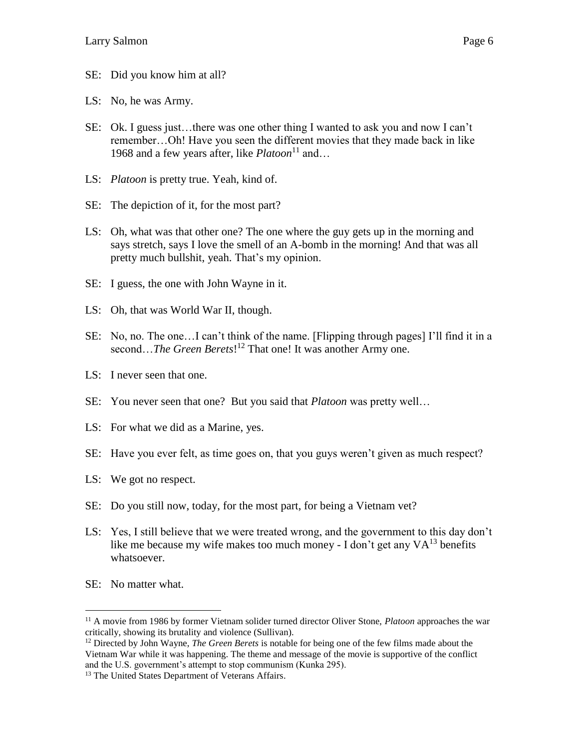- SE: Did you know him at all?
- LS: No, he was Army.
- SE: Ok. I guess just…there was one other thing I wanted to ask you and now I can't remember…Oh! Have you seen the different movies that they made back in like 1968 and a few years after, like *Platoon*<sup>11</sup> and...
- LS: *Platoon* is pretty true. Yeah, kind of.
- SE: The depiction of it, for the most part?
- LS: Oh, what was that other one? The one where the guy gets up in the morning and says stretch, says I love the smell of an A-bomb in the morning! And that was all pretty much bullshit, yeah. That's my opinion.
- SE: I guess, the one with John Wayne in it.
- LS: Oh, that was World War II, though.
- SE: No, no. The one…I can't think of the name. [Flipping through pages] I'll find it in a second...*The Green Berets*!<sup>12</sup> That one! It was another Army one.
- LS: I never seen that one.
- SE: You never seen that one? But you said that *Platoon* was pretty well…
- LS: For what we did as a Marine, yes.
- SE: Have you ever felt, as time goes on, that you guys weren't given as much respect?
- LS: We got no respect.
- SE: Do you still now, today, for the most part, for being a Vietnam vet?
- LS: Yes, I still believe that we were treated wrong, and the government to this day don't like me because my wife makes too much money - I don't get any  $VA<sup>13</sup>$  benefits whatsoever.
- SE: No matter what.

<sup>11</sup> A movie from 1986 by former Vietnam solider turned director Oliver Stone, *Platoon* approaches the war critically, showing its brutality and violence (Sullivan).

<sup>12</sup> Directed by John Wayne, *The Green Berets* is notable for being one of the few films made about the Vietnam War while it was happening. The theme and message of the movie is supportive of the conflict and the U.S. government's attempt to stop communism (Kunka 295).

<sup>&</sup>lt;sup>13</sup> The United States Department of Veterans Affairs.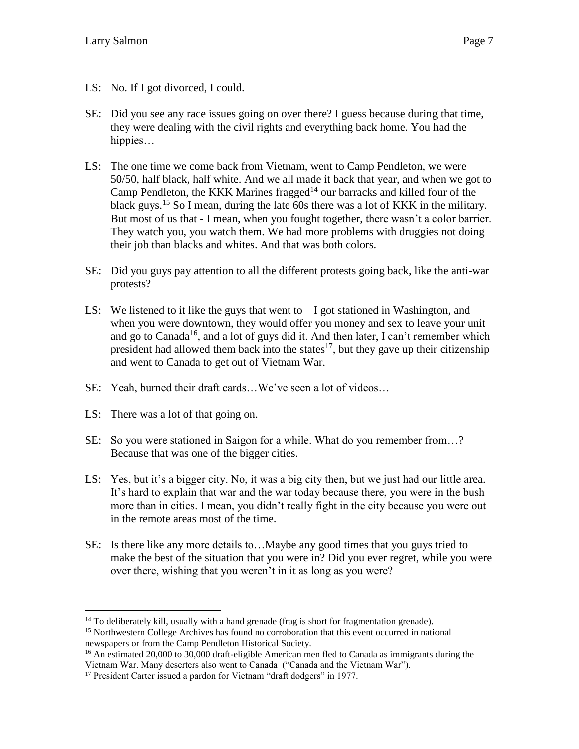- LS: No. If I got divorced, I could.
- SE: Did you see any race issues going on over there? I guess because during that time, they were dealing with the civil rights and everything back home. You had the hippies…
- LS: The one time we come back from Vietnam, went to Camp Pendleton, we were 50/50, half black, half white. And we all made it back that year, and when we got to Camp Pendleton, the KKK Marines fragged<sup>14</sup> our barracks and killed four of the black guys.<sup>15</sup> So I mean, during the late 60s there was a lot of KKK in the military. But most of us that - I mean, when you fought together, there wasn't a color barrier. They watch you, you watch them. We had more problems with druggies not doing their job than blacks and whites. And that was both colors.
- SE: Did you guys pay attention to all the different protests going back, like the anti-war protests?
- LS: We listened to it like the guys that went to  $-I$  got stationed in Washington, and when you were downtown, they would offer you money and sex to leave your unit and go to Canada<sup>16</sup>, and a lot of guys did it. And then later, I can't remember which president had allowed them back into the states $^{17}$ , but they gave up their citizenship and went to Canada to get out of Vietnam War.
- SE: Yeah, burned their draft cards…We've seen a lot of videos…
- LS: There was a lot of that going on.

- SE: So you were stationed in Saigon for a while. What do you remember from…? Because that was one of the bigger cities.
- LS: Yes, but it's a bigger city. No, it was a big city then, but we just had our little area. It's hard to explain that war and the war today because there, you were in the bush more than in cities. I mean, you didn't really fight in the city because you were out in the remote areas most of the time.
- SE: Is there like any more details to…Maybe any good times that you guys tried to make the best of the situation that you were in? Did you ever regret, while you were over there, wishing that you weren't in it as long as you were?

<sup>&</sup>lt;sup>14</sup> To deliberately kill, usually with a hand grenade (frag is short for fragmentation grenade).

<sup>&</sup>lt;sup>15</sup> Northwestern College Archives has found no corroboration that this event occurred in national newspapers or from the Camp Pendleton Historical Society.

<sup>&</sup>lt;sup>16</sup> An estimated 20,000 to 30,000 draft-eligible American men fled to Canada as immigrants during the Vietnam War. Many deserters also went to Canada ("Canada and the Vietnam War").

<sup>&</sup>lt;sup>17</sup> President Carter issued a pardon for Vietnam "draft dodgers" in 1977.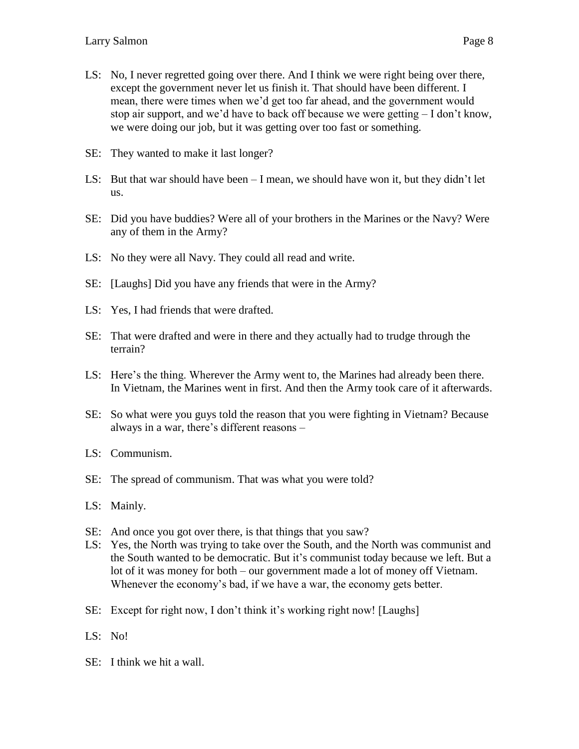- LS: No, I never regretted going over there. And I think we were right being over there, except the government never let us finish it. That should have been different. I mean, there were times when we'd get too far ahead, and the government would stop air support, and we'd have to back off because we were getting – I don't know, we were doing our job, but it was getting over too fast or something.
- SE: They wanted to make it last longer?
- LS: But that war should have been I mean, we should have won it, but they didn't let us.
- SE: Did you have buddies? Were all of your brothers in the Marines or the Navy? Were any of them in the Army?
- LS: No they were all Navy. They could all read and write.
- SE: [Laughs] Did you have any friends that were in the Army?
- LS: Yes, I had friends that were drafted.
- SE: That were drafted and were in there and they actually had to trudge through the terrain?
- LS: Here's the thing. Wherever the Army went to, the Marines had already been there. In Vietnam, the Marines went in first. And then the Army took care of it afterwards.
- SE: So what were you guys told the reason that you were fighting in Vietnam? Because always in a war, there's different reasons –
- LS: Communism.
- SE: The spread of communism. That was what you were told?
- LS: Mainly.
- SE: And once you got over there, is that things that you saw?
- LS: Yes, the North was trying to take over the South, and the North was communist and the South wanted to be democratic. But it's communist today because we left. But a lot of it was money for both – our government made a lot of money off Vietnam. Whenever the economy's bad, if we have a war, the economy gets better.
- SE: Except for right now, I don't think it's working right now! [Laughs]
- LS: No!
- SE: I think we hit a wall.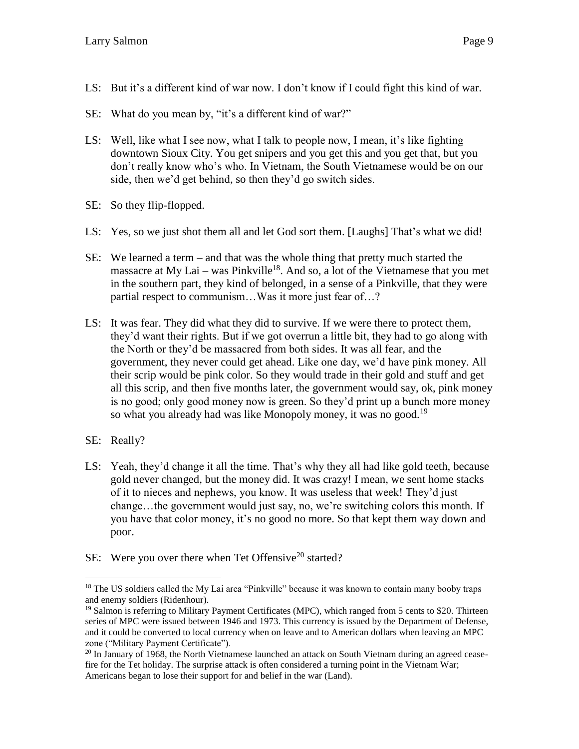- LS: But it's a different kind of war now. I don't know if I could fight this kind of war.
- SE: What do you mean by, "it's a different kind of war?"
- LS: Well, like what I see now, what I talk to people now, I mean, it's like fighting downtown Sioux City. You get snipers and you get this and you get that, but you don't really know who's who. In Vietnam, the South Vietnamese would be on our side, then we'd get behind, so then they'd go switch sides.
- SE: So they flip-flopped.
- LS: Yes, so we just shot them all and let God sort them. [Laughs] That's what we did!
- SE: We learned a term and that was the whole thing that pretty much started the massacre at My Lai – was Pinkville<sup>18</sup>. And so, a lot of the Vietnamese that you met in the southern part, they kind of belonged, in a sense of a Pinkville, that they were partial respect to communism…Was it more just fear of…?
- LS: It was fear. They did what they did to survive. If we were there to protect them, they'd want their rights. But if we got overrun a little bit, they had to go along with the North or they'd be massacred from both sides. It was all fear, and the government, they never could get ahead. Like one day, we'd have pink money. All their scrip would be pink color. So they would trade in their gold and stuff and get all this scrip, and then five months later, the government would say, ok, pink money is no good; only good money now is green. So they'd print up a bunch more money so what you already had was like Monopoly money, it was no good.<sup>19</sup>
- SE: Really?

- LS: Yeah, they'd change it all the time. That's why they all had like gold teeth, because gold never changed, but the money did. It was crazy! I mean, we sent home stacks of it to nieces and nephews, you know. It was useless that week! They'd just change…the government would just say, no, we're switching colors this month. If you have that color money, it's no good no more. So that kept them way down and poor.
- SE: Were you over there when Tet Offensive<sup>20</sup> started?

<sup>&</sup>lt;sup>18</sup> The US soldiers called the My Lai area "Pinkville" because it was known to contain many booby traps and enemy soldiers (Ridenhour).

 $19$  Salmon is referring to Military Payment Certificates (MPC), which ranged from 5 cents to \$20. Thirteen series of MPC were issued between 1946 and 1973. This currency is issued by the Department of Defense, and it could be converted to local currency when on leave and to American dollars when leaving an MPC zone ("Military Payment Certificate").

<sup>&</sup>lt;sup>20</sup> In January of 1968, the North Vietnamese launched an attack on South Vietnam during an agreed ceasefire for the Tet holiday. The surprise attack is often considered a turning point in the Vietnam War; Americans began to lose their support for and belief in the war (Land).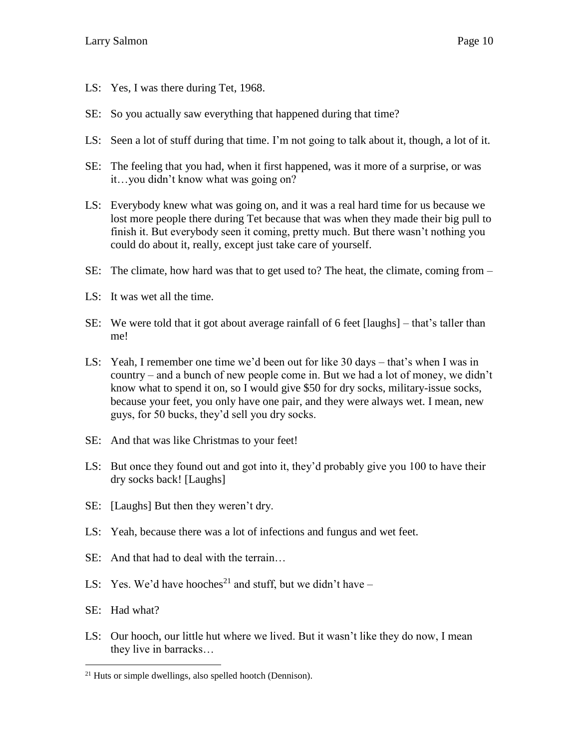- LS: Yes, I was there during Tet, 1968.
- SE: So you actually saw everything that happened during that time?
- LS: Seen a lot of stuff during that time. I'm not going to talk about it, though, a lot of it.
- SE: The feeling that you had, when it first happened, was it more of a surprise, or was it…you didn't know what was going on?
- LS: Everybody knew what was going on, and it was a real hard time for us because we lost more people there during Tet because that was when they made their big pull to finish it. But everybody seen it coming, pretty much. But there wasn't nothing you could do about it, really, except just take care of yourself.
- SE: The climate, how hard was that to get used to? The heat, the climate, coming from –
- LS: It was wet all the time.
- SE: We were told that it got about average rainfall of 6 feet [laughs] that's taller than me!
- LS: Yeah, I remember one time we'd been out for like 30 days that's when I was in country – and a bunch of new people come in. But we had a lot of money, we didn't know what to spend it on, so I would give \$50 for dry socks, military-issue socks, because your feet, you only have one pair, and they were always wet. I mean, new guys, for 50 bucks, they'd sell you dry socks.
- SE: And that was like Christmas to your feet!
- LS: But once they found out and got into it, they'd probably give you 100 to have their dry socks back! [Laughs]
- SE: [Laughs] But then they weren't dry.
- LS: Yeah, because there was a lot of infections and fungus and wet feet.
- SE: And that had to deal with the terrain…
- LS: Yes. We'd have hooches<sup>21</sup> and stuff, but we didn't have  $-$
- SE: Had what?

LS: Our hooch, our little hut where we lived. But it wasn't like they do now, I mean they live in barracks…

 $21$  Huts or simple dwellings, also spelled hootch (Dennison).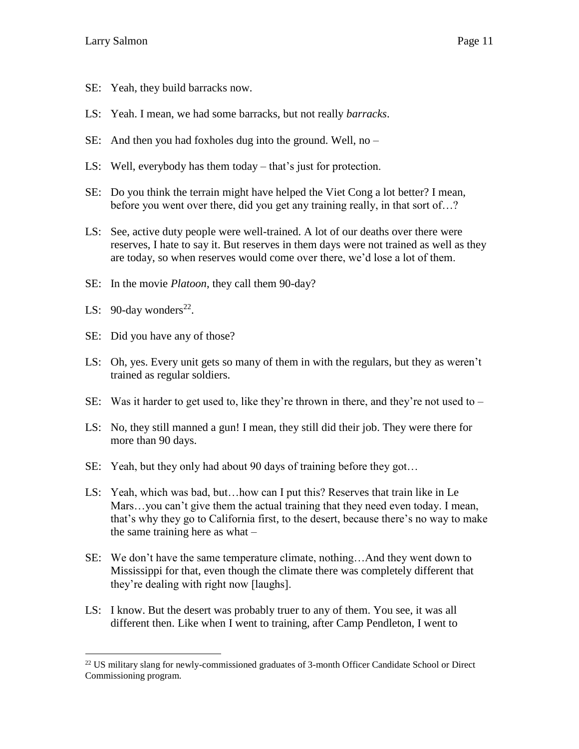- SE: Yeah, they build barracks now.
- LS: Yeah. I mean, we had some barracks, but not really *barracks*.
- SE: And then you had foxholes dug into the ground. Well, no –
- LS: Well, everybody has them today that's just for protection.
- SE: Do you think the terrain might have helped the Viet Cong a lot better? I mean, before you went over there, did you get any training really, in that sort of…?
- LS: See, active duty people were well-trained. A lot of our deaths over there were reserves, I hate to say it. But reserves in them days were not trained as well as they are today, so when reserves would come over there, we'd lose a lot of them.
- SE: In the movie *Platoon*, they call them 90-day?
- LS: 90-day wonders<sup>22</sup>.

- SE: Did you have any of those?
- LS: Oh, yes. Every unit gets so many of them in with the regulars, but they as weren't trained as regular soldiers.
- SE: Was it harder to get used to, like they're thrown in there, and they're not used to  $-$
- LS: No, they still manned a gun! I mean, they still did their job. They were there for more than 90 days.
- SE: Yeah, but they only had about 90 days of training before they got…
- LS: Yeah, which was bad, but…how can I put this? Reserves that train like in Le Mars...you can't give them the actual training that they need even today. I mean, that's why they go to California first, to the desert, because there's no way to make the same training here as what –
- SE: We don't have the same temperature climate, nothing…And they went down to Mississippi for that, even though the climate there was completely different that they're dealing with right now [laughs].
- LS: I know. But the desert was probably truer to any of them. You see, it was all different then. Like when I went to training, after Camp Pendleton, I went to

<sup>&</sup>lt;sup>22</sup> US military slang for newly-commissioned graduates of 3-month Officer Candidate School or Direct Commissioning program.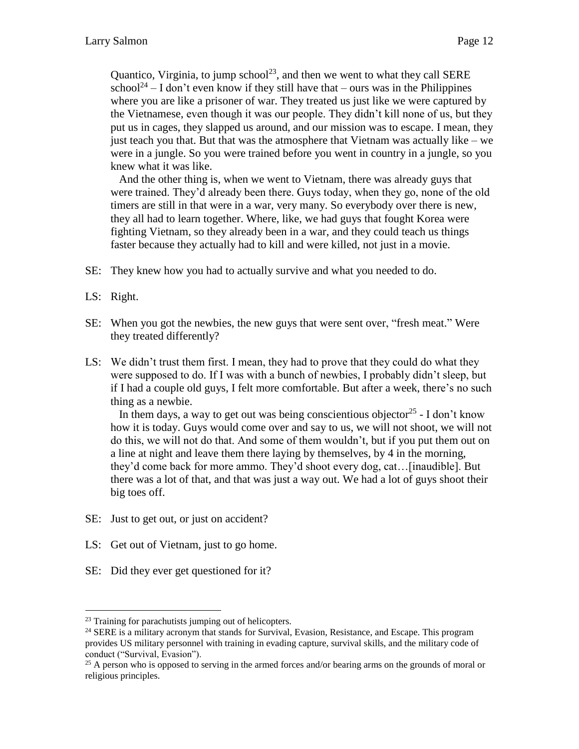Quantico, Virginia, to jump school<sup>23</sup>, and then we went to what they call SERE school<sup>24</sup> – I don't even know if they still have that – ours was in the Philippines where you are like a prisoner of war. They treated us just like we were captured by the Vietnamese, even though it was our people. They didn't kill none of us, but they put us in cages, they slapped us around, and our mission was to escape. I mean, they just teach you that. But that was the atmosphere that Vietnam was actually like – we were in a jungle. So you were trained before you went in country in a jungle, so you knew what it was like.

And the other thing is, when we went to Vietnam, there was already guys that were trained. They'd already been there. Guys today, when they go, none of the old timers are still in that were in a war, very many. So everybody over there is new, they all had to learn together. Where, like, we had guys that fought Korea were fighting Vietnam, so they already been in a war, and they could teach us things faster because they actually had to kill and were killed, not just in a movie.

- SE: They knew how you had to actually survive and what you needed to do.
- LS: Right.

 $\overline{a}$ 

- SE: When you got the newbies, the new guys that were sent over, "fresh meat." Were they treated differently?
- LS: We didn't trust them first. I mean, they had to prove that they could do what they were supposed to do. If I was with a bunch of newbies, I probably didn't sleep, but if I had a couple old guys, I felt more comfortable. But after a week, there's no such thing as a newbie.

In them days, a way to get out was being conscientious objector<sup>25</sup> - I don't know how it is today. Guys would come over and say to us, we will not shoot, we will not do this, we will not do that. And some of them wouldn't, but if you put them out on a line at night and leave them there laying by themselves, by 4 in the morning, they'd come back for more ammo. They'd shoot every dog, cat…[inaudible]. But there was a lot of that, and that was just a way out. We had a lot of guys shoot their big toes off.

- SE: Just to get out, or just on accident?
- LS: Get out of Vietnam, just to go home.
- SE: Did they ever get questioned for it?

<sup>&</sup>lt;sup>23</sup> Training for parachutists jumping out of helicopters.

<sup>&</sup>lt;sup>24</sup> SERE is a military acronym that stands for Survival, Evasion, Resistance, and Escape. This program provides US military personnel with training in evading capture, survival skills, and the military code of conduct ("Survival, Evasion").

<sup>&</sup>lt;sup>25</sup> A person who is opposed to serving in the armed forces and/or bearing arms on the grounds of moral or religious principles.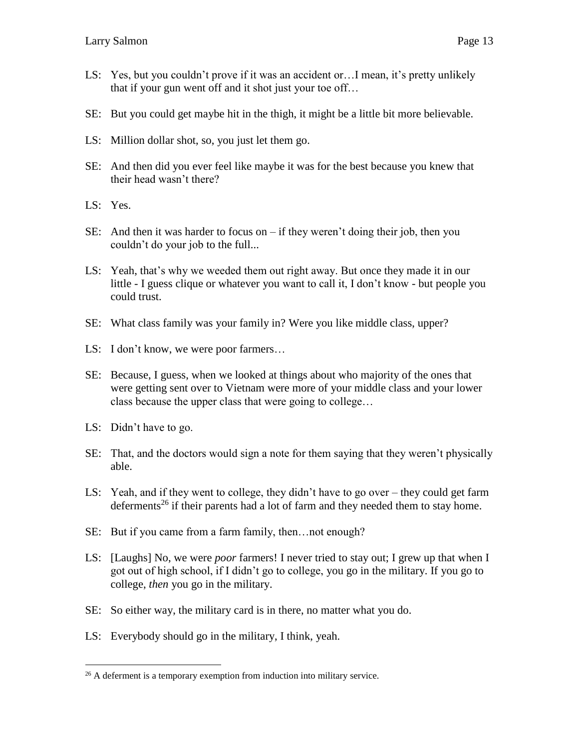- LS: Yes, but you couldn't prove if it was an accident or…I mean, it's pretty unlikely that if your gun went off and it shot just your toe off…
- SE: But you could get maybe hit in the thigh, it might be a little bit more believable.
- LS: Million dollar shot, so, you just let them go.
- SE: And then did you ever feel like maybe it was for the best because you knew that their head wasn't there?
- LS: Yes.
- SE: And then it was harder to focus on if they weren't doing their job, then you couldn't do your job to the full...
- LS: Yeah, that's why we weeded them out right away. But once they made it in our little - I guess clique or whatever you want to call it, I don't know - but people you could trust.
- SE: What class family was your family in? Were you like middle class, upper?
- LS: I don't know, we were poor farmers...
- SE: Because, I guess, when we looked at things about who majority of the ones that were getting sent over to Vietnam were more of your middle class and your lower class because the upper class that were going to college…
- LS: Didn't have to go.

- SE: That, and the doctors would sign a note for them saying that they weren't physically able.
- LS: Yeah, and if they went to college, they didn't have to go over they could get farm deferments<sup>26</sup> if their parents had a lot of farm and they needed them to stay home.
- SE: But if you came from a farm family, then…not enough?
- LS: [Laughs] No, we were *poor* farmers! I never tried to stay out; I grew up that when I got out of high school, if I didn't go to college, you go in the military. If you go to college, *then* you go in the military.
- SE: So either way, the military card is in there, no matter what you do.
- LS: Everybody should go in the military, I think, yeah.

<sup>&</sup>lt;sup>26</sup> A deferment is a temporary exemption from induction into military service.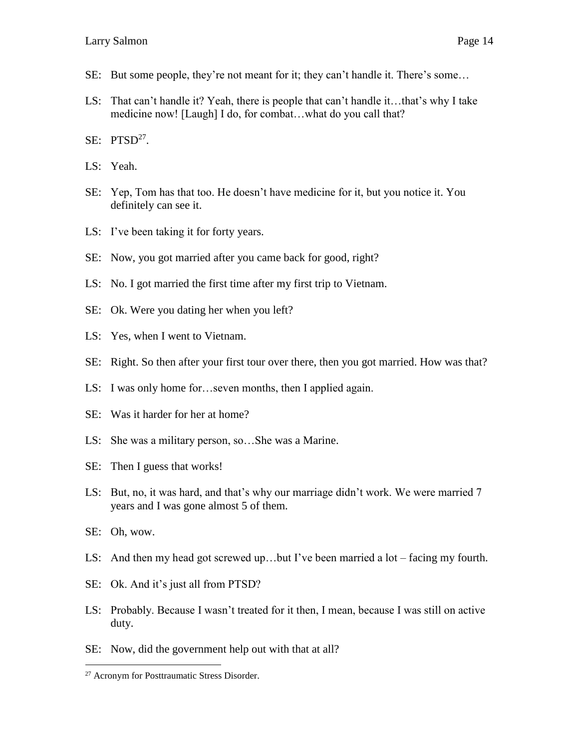- SE: But some people, they're not meant for it; they can't handle it. There's some…
- LS: That can't handle it? Yeah, there is people that can't handle it…that's why I take medicine now! [Laugh] I do, for combat…what do you call that?
- $SE: PTSD<sup>27</sup>.$
- LS: Yeah.
- SE: Yep, Tom has that too. He doesn't have medicine for it, but you notice it. You definitely can see it.
- LS: I've been taking it for forty years.
- SE: Now, you got married after you came back for good, right?
- LS: No. I got married the first time after my first trip to Vietnam.
- SE: Ok. Were you dating her when you left?
- LS: Yes, when I went to Vietnam.
- SE: Right. So then after your first tour over there, then you got married. How was that?
- LS: I was only home for…seven months, then I applied again.
- SE: Was it harder for her at home?
- LS: She was a military person, so…She was a Marine.
- SE: Then I guess that works!
- LS: But, no, it was hard, and that's why our marriage didn't work. We were married 7 years and I was gone almost 5 of them.
- SE: Oh, wow.

- LS: And then my head got screwed up…but I've been married a lot facing my fourth.
- SE: Ok. And it's just all from PTSD?
- LS: Probably. Because I wasn't treated for it then, I mean, because I was still on active duty.
- SE: Now, did the government help out with that at all?

<sup>&</sup>lt;sup>27</sup> Acronym for Posttraumatic Stress Disorder.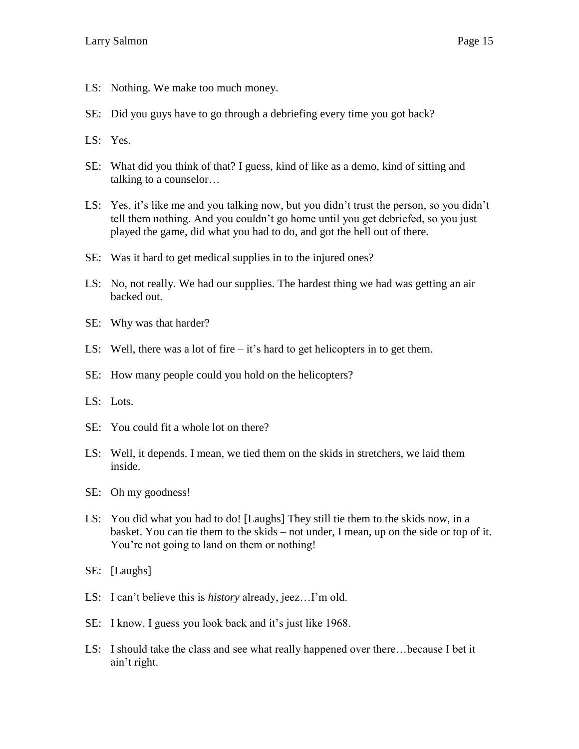- LS: Nothing. We make too much money.
- SE: Did you guys have to go through a debriefing every time you got back?
- LS: Yes.
- SE: What did you think of that? I guess, kind of like as a demo, kind of sitting and talking to a counselor…
- LS: Yes, it's like me and you talking now, but you didn't trust the person, so you didn't tell them nothing. And you couldn't go home until you get debriefed, so you just played the game, did what you had to do, and got the hell out of there.
- SE: Was it hard to get medical supplies in to the injured ones?
- LS: No, not really. We had our supplies. The hardest thing we had was getting an air backed out.
- SE: Why was that harder?
- LS: Well, there was a lot of fire it's hard to get helicopters in to get them.
- SE: How many people could you hold on the helicopters?
- LS: Lots.
- SE: You could fit a whole lot on there?
- LS: Well, it depends. I mean, we tied them on the skids in stretchers, we laid them inside.
- SE: Oh my goodness!
- LS: You did what you had to do! [Laughs] They still tie them to the skids now, in a basket. You can tie them to the skids – not under, I mean, up on the side or top of it. You're not going to land on them or nothing!
- SE: [Laughs]
- LS: I can't believe this is *history* already, jeez…I'm old.
- SE: I know. I guess you look back and it's just like 1968.
- LS: I should take the class and see what really happened over there…because I bet it ain't right.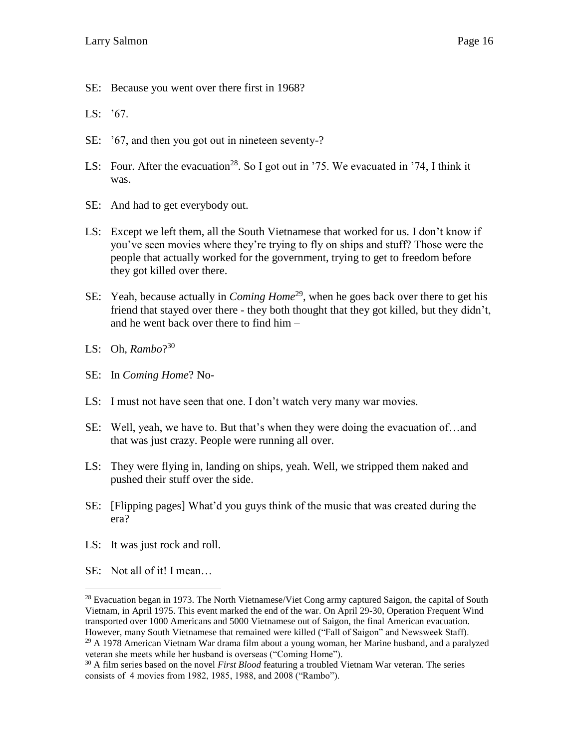- SE: Because you went over there first in 1968?
- LS: '67.
- SE: '67, and then you got out in nineteen seventy-?
- LS: Four. After the evacuation<sup>28</sup>. So I got out in '75. We evacuated in '74, I think it was.
- SE: And had to get everybody out.
- LS: Except we left them, all the South Vietnamese that worked for us. I don't know if you've seen movies where they're trying to fly on ships and stuff? Those were the people that actually worked for the government, trying to get to freedom before they got killed over there.
- SE: Yeah, because actually in *Coming Home*<sup>29</sup>, when he goes back over there to get his friend that stayed over there - they both thought that they got killed, but they didn't, and he went back over there to find him –
- LS: Oh, *Rambo*? 30
- SE: In *Coming Home*? No-
- LS: I must not have seen that one. I don't watch very many war movies.
- SE: Well, yeah, we have to. But that's when they were doing the evacuation of…and that was just crazy. People were running all over.
- LS: They were flying in, landing on ships, yeah. Well, we stripped them naked and pushed their stuff over the side.
- SE: [Flipping pages] What'd you guys think of the music that was created during the era?
- LS: It was just rock and roll.
- SE: Not all of it! I mean…

<sup>&</sup>lt;sup>28</sup> Evacuation began in 1973. The North Vietnamese/Viet Cong army captured Saigon, the capital of South Vietnam, in April 1975. This event marked the end of the war. On April 29-30, Operation Frequent Wind transported over 1000 Americans and 5000 Vietnamese out of Saigon, the final American evacuation. However, many South Vietnamese that remained were killed ("Fall of Saigon" and Newsweek Staff).  $29$  A 1978 American Vietnam War drama film about a young woman, her Marine husband, and a paralyzed

veteran she meets while her husband is overseas ("Coming Home").

<sup>30</sup> A film series based on the novel *First Blood* featuring a troubled Vietnam War veteran. The series consists of 4 movies from 1982, 1985, 1988, and 2008 ("Rambo").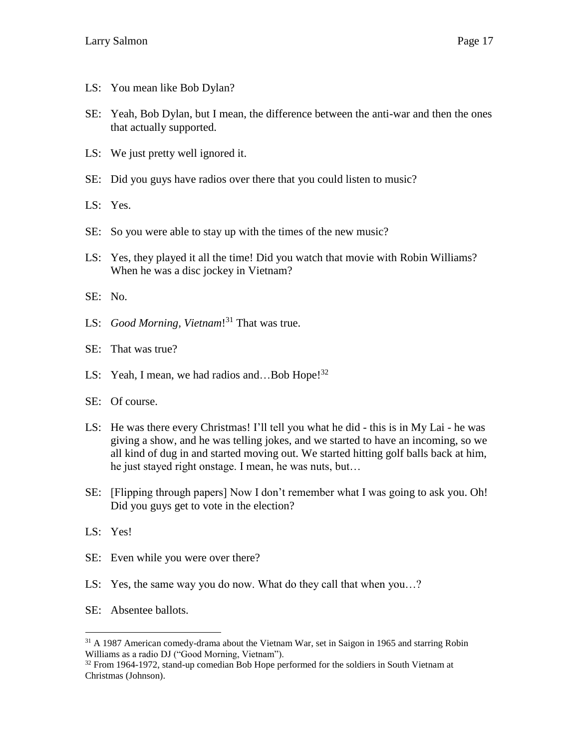- LS: You mean like Bob Dylan?
- SE: Yeah, Bob Dylan, but I mean, the difference between the anti-war and then the ones that actually supported.
- LS: We just pretty well ignored it.
- SE: Did you guys have radios over there that you could listen to music?
- LS: Yes.
- SE: So you were able to stay up with the times of the new music?
- LS: Yes, they played it all the time! Did you watch that movie with Robin Williams? When he was a disc jockey in Vietnam?
- SE: No.
- LS: *Good Morning, Vietnam*! <sup>31</sup> That was true.
- SE: That was true?
- LS: Yeah, I mean, we had radios and...Bob Hope! $32$
- SE: Of course.
- LS: He was there every Christmas! I'll tell you what he did this is in My Lai he was giving a show, and he was telling jokes, and we started to have an incoming, so we all kind of dug in and started moving out. We started hitting golf balls back at him, he just stayed right onstage. I mean, he was nuts, but…
- SE: [Flipping through papers] Now I don't remember what I was going to ask you. Oh! Did you guys get to vote in the election?
- LS: Yes!

- SE: Even while you were over there?
- LS: Yes, the same way you do now. What do they call that when you…?
- SE: Absentee ballots.

<sup>&</sup>lt;sup>31</sup> A 1987 American comedy-drama about the Vietnam War, set in Saigon in 1965 and starring Robin Williams as a radio DJ ("Good Morning, Vietnam").

<sup>&</sup>lt;sup>32</sup> From 1964-1972, stand-up comedian Bob Hope performed for the soldiers in South Vietnam at Christmas (Johnson).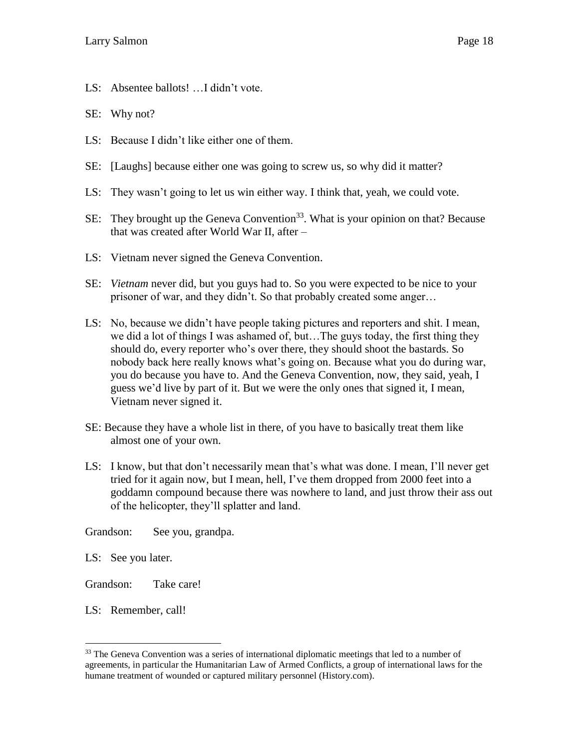- LS: Absentee ballots! …I didn't vote.
- SE: Why not?
- LS: Because I didn't like either one of them.
- SE: [Laughs] because either one was going to screw us, so why did it matter?
- LS: They wasn't going to let us win either way. I think that, yeah, we could vote.
- SE: They brought up the Geneva Convention<sup>33</sup>. What is your opinion on that? Because that was created after World War II, after –
- LS: Vietnam never signed the Geneva Convention.
- SE: *Vietnam* never did, but you guys had to. So you were expected to be nice to your prisoner of war, and they didn't. So that probably created some anger…
- LS: No, because we didn't have people taking pictures and reporters and shit. I mean, we did a lot of things I was ashamed of, but…The guys today, the first thing they should do, every reporter who's over there, they should shoot the bastards. So nobody back here really knows what's going on. Because what you do during war, you do because you have to. And the Geneva Convention, now, they said, yeah, I guess we'd live by part of it. But we were the only ones that signed it, I mean, Vietnam never signed it.
- SE: Because they have a whole list in there, of you have to basically treat them like almost one of your own.
- LS: I know, but that don't necessarily mean that's what was done. I mean, I'll never get tried for it again now, but I mean, hell, I've them dropped from 2000 feet into a goddamn compound because there was nowhere to land, and just throw their ass out of the helicopter, they'll splatter and land.

Grandson: See you, grandpa.

LS: See you later.

Grandson: Take care!

LS: Remember, call!

<sup>&</sup>lt;sup>33</sup> The Geneva Convention was a series of international diplomatic meetings that led to a number of agreements, in particular the Humanitarian Law of Armed Conflicts, a group of international laws for the humane treatment of wounded or captured military personnel (History.com).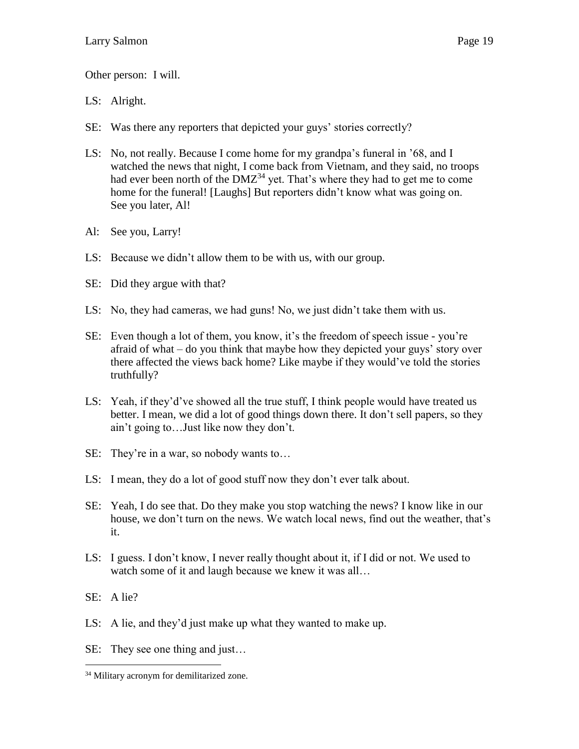Other person: I will.

- LS: Alright.
- SE: Was there any reporters that depicted your guys' stories correctly?
- LS: No, not really. Because I come home for my grandpa's funeral in '68, and I watched the news that night, I come back from Vietnam, and they said, no troops had ever been north of the  $DMZ^{34}$  yet. That's where they had to get me to come home for the funeral! [Laughs] But reporters didn't know what was going on. See you later, Al!
- Al: See you, Larry!
- LS: Because we didn't allow them to be with us, with our group.
- SE: Did they argue with that?
- LS: No, they had cameras, we had guns! No, we just didn't take them with us.
- SE: Even though a lot of them, you know, it's the freedom of speech issue you're afraid of what – do you think that maybe how they depicted your guys' story over there affected the views back home? Like maybe if they would've told the stories truthfully?
- LS: Yeah, if they'd've showed all the true stuff, I think people would have treated us better. I mean, we did a lot of good things down there. It don't sell papers, so they ain't going to…Just like now they don't.
- SE: They're in a war, so nobody wants to…
- LS: I mean, they do a lot of good stuff now they don't ever talk about.
- SE: Yeah, I do see that. Do they make you stop watching the news? I know like in our house, we don't turn on the news. We watch local news, find out the weather, that's it.
- LS: I guess. I don't know, I never really thought about it, if I did or not. We used to watch some of it and laugh because we knew it was all…
- SE: A lie?

- LS: A lie, and they'd just make up what they wanted to make up.
- SE: They see one thing and just…

<sup>&</sup>lt;sup>34</sup> Military acronym for demilitarized zone.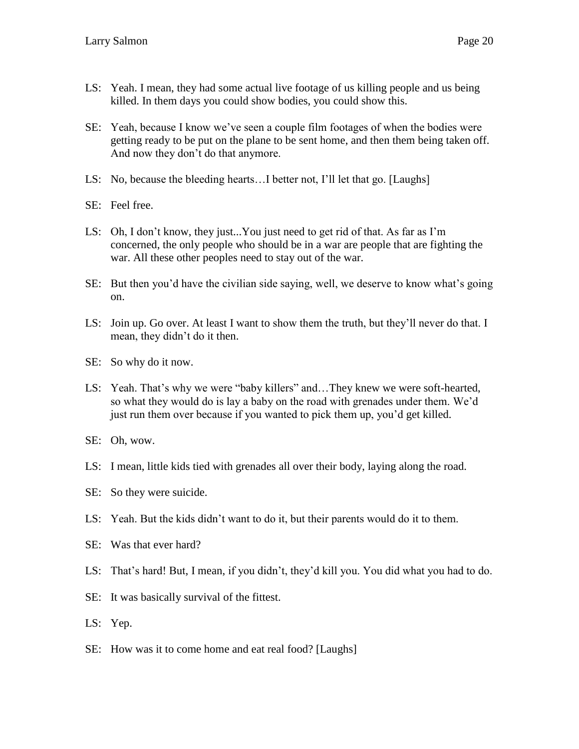- LS: Yeah. I mean, they had some actual live footage of us killing people and us being killed. In them days you could show bodies, you could show this.
- SE: Yeah, because I know we've seen a couple film footages of when the bodies were getting ready to be put on the plane to be sent home, and then them being taken off. And now they don't do that anymore.
- LS: No, because the bleeding hearts...I better not, I'll let that go. [Laughs]
- SE: Feel free.
- LS: Oh, I don't know, they just...You just need to get rid of that. As far as I'm concerned, the only people who should be in a war are people that are fighting the war. All these other peoples need to stay out of the war.
- SE: But then you'd have the civilian side saying, well, we deserve to know what's going on.
- LS: Join up. Go over. At least I want to show them the truth, but they'll never do that. I mean, they didn't do it then.
- SE: So why do it now.
- LS: Yeah. That's why we were "baby killers" and…They knew we were soft-hearted, so what they would do is lay a baby on the road with grenades under them. We'd just run them over because if you wanted to pick them up, you'd get killed.
- SE: Oh, wow.
- LS: I mean, little kids tied with grenades all over their body, laying along the road.
- SE: So they were suicide.
- LS: Yeah. But the kids didn't want to do it, but their parents would do it to them.
- SE: Was that ever hard?
- LS: That's hard! But, I mean, if you didn't, they'd kill you. You did what you had to do.
- SE: It was basically survival of the fittest.
- LS: Yep.
- SE: How was it to come home and eat real food? [Laughs]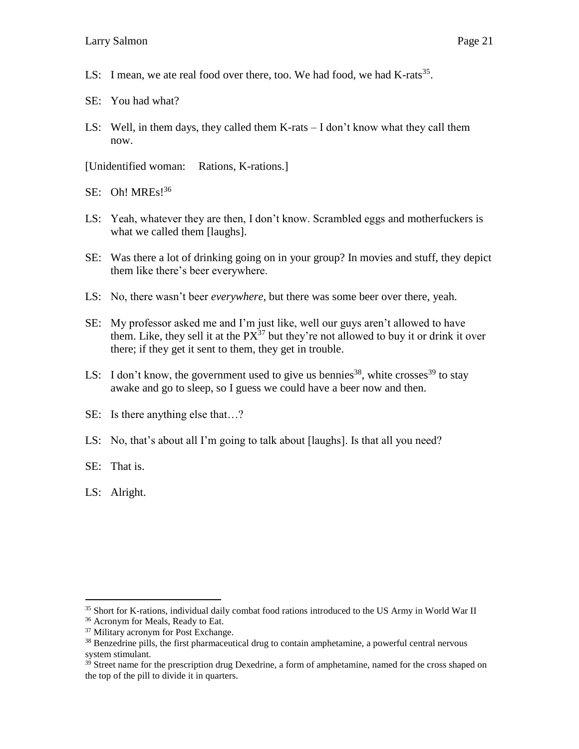- LS: I mean, we ate real food over there, too. We had food, we had K-rats<sup>35</sup>.
- SE: You had what?
- LS: Well, in them days, they called them K-rats I don't know what they call them now.
- [Unidentified woman: Rations, K-rations.]
- SE: Oh! MREs!<sup>36</sup>
- LS: Yeah, whatever they are then, I don't know. Scrambled eggs and motherfuckers is what we called them [laughs].
- SE: Was there a lot of drinking going on in your group? In movies and stuff, they depict them like there's beer everywhere.
- LS: No, there wasn't beer *everywhere*, but there was some beer over there, yeah.
- SE: My professor asked me and I'm just like, well our guys aren't allowed to have them. Like, they sell it at the  $PX^{37}$  but they're not allowed to buy it or drink it over there; if they get it sent to them, they get in trouble.
- LS: I don't know, the government used to give us bennies<sup>38</sup>, white crosses<sup>39</sup> to stay awake and go to sleep, so I guess we could have a beer now and then.
- SE: Is there anything else that...?
- LS: No, that's about all I'm going to talk about [laughs]. Is that all you need?
- SE: That is.
- LS: Alright.

<sup>&</sup>lt;sup>35</sup> Short for K-rations, individual daily combat food rations introduced to the US Army in World War II

<sup>&</sup>lt;sup>36</sup> Acronym for Meals, Ready to Eat.

<sup>&</sup>lt;sup>37</sup> Military acronym for Post Exchange.

<sup>&</sup>lt;sup>38</sup> Benzedrine pills, the first pharmaceutical drug to contain amphetamine, a powerful central nervous system stimulant.

<sup>&</sup>lt;sup>39</sup> Street name for the prescription drug Dexedrine, a form of amphetamine, named for the cross shaped on the top of the pill to divide it in quarters.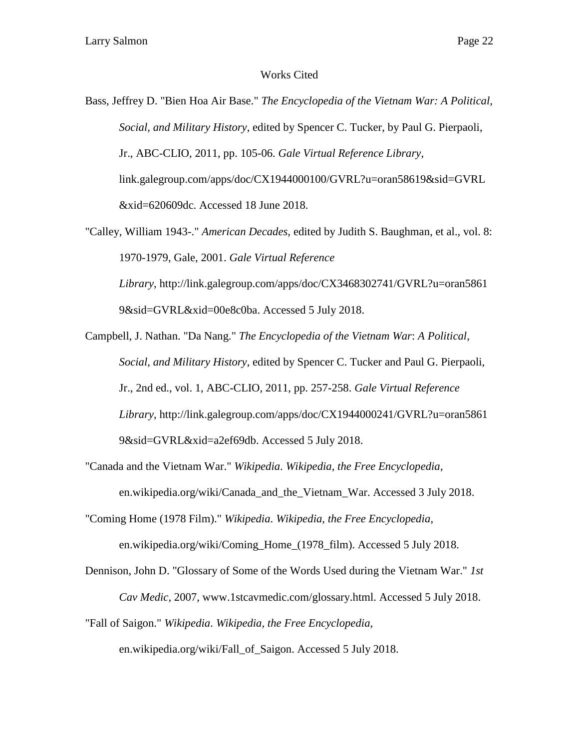Bass, Jeffrey D. "Bien Hoa Air Base." *The Encyclopedia of the Vietnam War: A Political, Social, and Military History*, edited by Spencer C. Tucker, by Paul G. Pierpaoli, Jr., ABC-CLIO, 2011, pp. 105-06. *Gale Virtual Reference Library*, link.galegroup.com/apps/doc/CX1944000100/GVRL?u=oran58619&sid=GVRL &xid=620609dc. Accessed 18 June 2018.

"Calley, William 1943-." *American Decades*, edited by Judith S. Baughman, et al., vol. 8: 1970-1979, Gale, 2001. *Gale Virtual Reference Library*, http://link.galegroup.com/apps/doc/CX3468302741/GVRL?u=oran5861 9&sid=GVRL&xid=00e8c0ba. Accessed 5 July 2018.

Campbell, J. Nathan. "Da Nang." *The Encyclopedia of the Vietnam War*: *A Political, Social, and Military History*, edited by Spencer C. Tucker and Paul G. Pierpaoli, Jr., 2nd ed., vol. 1, ABC-CLIO, 2011, pp. 257-258. *Gale Virtual Reference Library*, http://link.galegroup.com/apps/doc/CX1944000241/GVRL?u=oran5861 9&sid=GVRL&xid=a2ef69db. Accessed 5 July 2018.

- "Canada and the Vietnam War." *Wikipedia*. *Wikipedia, the Free Encyclopedia*, en.wikipedia.org/wiki/Canada\_and\_the\_Vietnam\_War. Accessed 3 July 2018.
- "Coming Home (1978 Film)." *Wikipedia*. *Wikipedia, the Free Encyclopedia*, en.wikipedia.org/wiki/Coming\_Home\_(1978\_film). Accessed 5 July 2018.

Dennison, John D. "Glossary of Some of the Words Used during the Vietnam War." *1st Cav Medic*, 2007, www.1stcavmedic.com/glossary.html. Accessed 5 July 2018.

"Fall of Saigon." *Wikipedia*. *Wikipedia, the Free Encyclopedia*,

en.wikipedia.org/wiki/Fall\_of\_Saigon. Accessed 5 July 2018.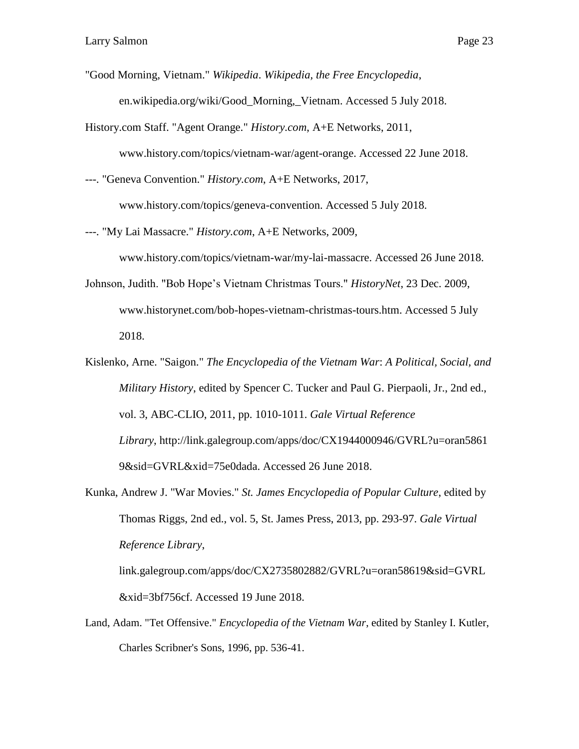"Good Morning, Vietnam." *Wikipedia*. *Wikipedia, the Free Encyclopedia*, en.wikipedia.org/wiki/Good\_Morning,\_Vietnam. Accessed 5 July 2018.

History.com Staff. "Agent Orange." *History.com*, A+E Networks, 2011, www.history.com/topics/vietnam-war/agent-orange. Accessed 22 June 2018.

---. "Geneva Convention." *History.com*, A+E Networks, 2017, www.history.com/topics/geneva-convention. Accessed 5 July 2018.

- ---. "My Lai Massacre." *History.com*, A+E Networks, 2009, www.history.com/topics/vietnam-war/my-lai-massacre. Accessed 26 June 2018.
- Johnson, Judith. "Bob Hope's Vietnam Christmas Tours." *HistoryNet*, 23 Dec. 2009, www.historynet.com/bob-hopes-vietnam-christmas-tours.htm. Accessed 5 July 2018.
- Kislenko, Arne. "Saigon." *The Encyclopedia of the Vietnam War*: *A Political, Social, and Military History*, edited by Spencer C. Tucker and Paul G. Pierpaoli, Jr., 2nd ed., vol. 3, ABC-CLIO, 2011, pp. 1010-1011. *Gale Virtual Reference Library*, http://link.galegroup.com/apps/doc/CX1944000946/GVRL?u=oran5861 9&sid=GVRL&xid=75e0dada. Accessed 26 June 2018.
- Kunka, Andrew J. "War Movies." *St. James Encyclopedia of Popular Culture*, edited by Thomas Riggs, 2nd ed., vol. 5, St. James Press, 2013, pp. 293-97. *Gale Virtual Reference Library*, link.galegroup.com/apps/doc/CX2735802882/GVRL?u=oran58619&sid=GVRL &xid=3bf756cf. Accessed 19 June 2018.
- Land, Adam. "Tet Offensive." *Encyclopedia of the Vietnam War*, edited by Stanley I. Kutler, Charles Scribner's Sons, 1996, pp. 536-41.